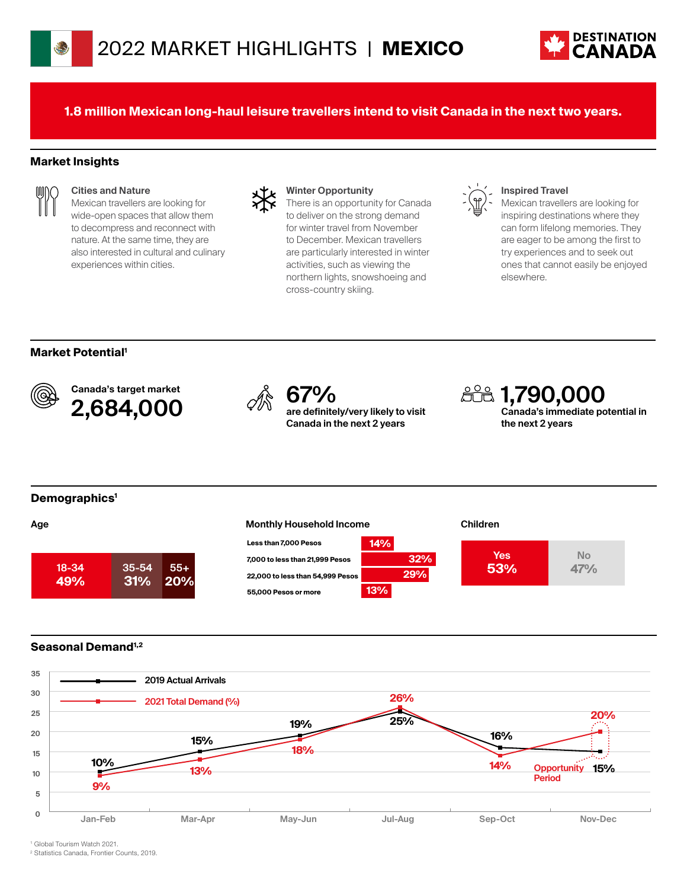

**1.8 million Mexican long-haul leisure travellers intend to visit Canada in the next two years.**

#### **Market Insights**



#### **Cities and Nature**

Mexican travellers are looking for wide-open spaces that allow them to decompress and reconnect with nature. At the same time, they are also interested in cultural and culinary experiences within cities.



#### **Winter Opportunity**

There is an opportunity for Canada to deliver on the strong demand for winter travel from November to December. Mexican travellers are particularly interested in winter activities, such as viewing the northern lights, snowshoeing and cross-country skiing.

### **Inspired Travel**

Mexican travellers are looking for inspiring destinations where they can form lifelong memories. They are eager to be among the first to try experiences and to seek out ones that cannot easily be enjoyed elsewhere.

#### **Market Potential1**



Canada's target market Canada's target market<br> **2,684,000**  $\oslash$  **67%** are definite



**are definitely/very likely to visit Canada in the next 2 years**

**1,790,000 Canada's immediate potential in the next 2 years**

#### **Demographics1**







#### **Seasonal Demand1,2**



1 Global Tourism Watch 2021.

2 Statistics Canada, Frontier Counts, 2019.